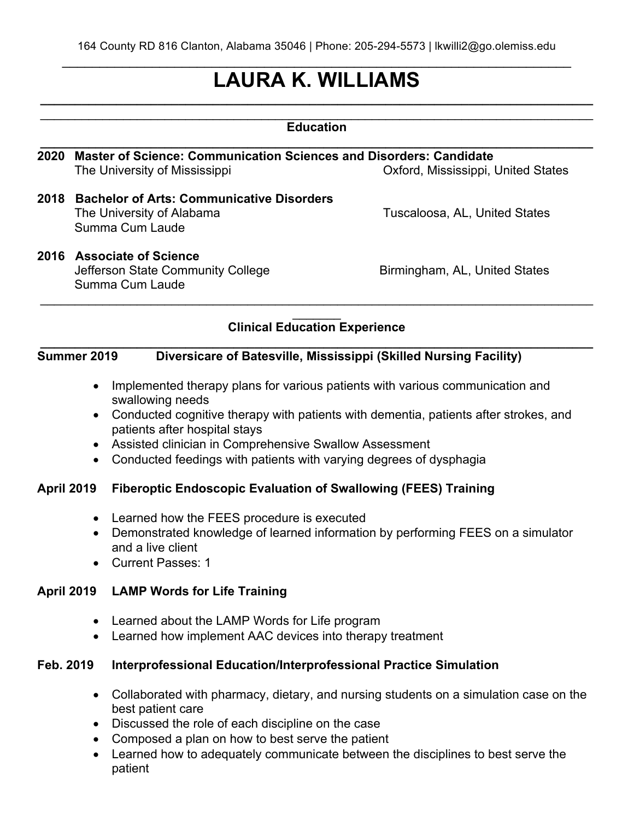# **LAURA K. WILLIAMS \_\_\_\_\_\_\_\_\_\_\_\_\_\_\_\_\_\_\_\_\_\_\_\_\_\_\_\_\_\_\_\_\_\_\_\_\_\_\_\_\_\_\_\_\_\_\_\_\_\_\_\_\_\_\_\_\_\_\_\_\_\_\_\_\_\_\_\_\_\_\_\_\_\_\_\_\_\_\_\_**

# $\mathcal{L}_\text{max} = \frac{1}{2} \sum_{i=1}^{n} \frac{1}{2} \sum_{i=1}^{n} \frac{1}{2} \sum_{i=1}^{n} \frac{1}{2} \sum_{i=1}^{n} \frac{1}{2} \sum_{i=1}^{n} \frac{1}{2} \sum_{i=1}^{n} \frac{1}{2} \sum_{i=1}^{n} \frac{1}{2} \sum_{i=1}^{n} \frac{1}{2} \sum_{i=1}^{n} \frac{1}{2} \sum_{i=1}^{n} \frac{1}{2} \sum_{i=1}^{n} \frac{1}{2} \sum_{i=1}^{n} \frac{1$ **Education \_\_\_\_\_\_\_\_\_\_\_\_\_\_\_\_\_\_\_\_\_\_\_\_\_\_\_\_\_\_\_\_\_\_\_\_\_\_\_\_\_\_\_\_\_\_\_\_\_\_\_\_\_\_\_\_\_\_\_\_\_\_\_\_\_\_\_\_\_\_\_\_\_\_\_\_\_\_\_\_ 2020 Master of Science: Communication Sciences and Disorders: Candidate** The University of Mississippi **National States** Oxford, Mississippi, United States **2018 Bachelor of Arts: Communicative Disorders** The University of Alabama Tuscaloosa, AL, United States Summa Cum Laude **2016 Associate of Science** Jefferson State Community College **Birmingham, AL, United States** Summa Cum Laude  $\mathcal{L}_\text{max} = \frac{1}{2} \sum_{i=1}^{n} \frac{1}{2} \sum_{i=1}^{n} \frac{1}{2} \sum_{i=1}^{n} \frac{1}{2} \sum_{i=1}^{n} \frac{1}{2} \sum_{i=1}^{n} \frac{1}{2} \sum_{i=1}^{n} \frac{1}{2} \sum_{i=1}^{n} \frac{1}{2} \sum_{i=1}^{n} \frac{1}{2} \sum_{i=1}^{n} \frac{1}{2} \sum_{i=1}^{n} \frac{1}{2} \sum_{i=1}^{n} \frac{1}{2} \sum_{i=1}^{n} \frac{1$

#### $\frac{1}{2}$ **Clinical Education Experience**

#### **\_\_\_\_\_\_\_\_\_\_\_\_\_\_\_\_\_\_\_\_\_\_\_\_\_\_\_\_\_\_\_\_\_\_\_\_\_\_\_\_\_\_\_\_\_\_\_\_\_\_\_\_\_\_\_\_\_\_\_\_\_\_\_\_\_\_\_\_\_\_\_\_\_\_\_\_\_\_\_\_ Summer 2019 Diversicare of Batesville, Mississippi (Skilled Nursing Facility)**

- Implemented therapy plans for various patients with various communication and swallowing needs
- Conducted cognitive therapy with patients with dementia, patients after strokes, and patients after hospital stays
- Assisted clinician in Comprehensive Swallow Assessment
- Conducted feedings with patients with varying degrees of dysphagia

### **April 2019 Fiberoptic Endoscopic Evaluation of Swallowing (FEES) Training**

- Learned how the FEES procedure is executed
- Demonstrated knowledge of learned information by performing FEES on a simulator and a live client
- Current Passes: 1

#### **April 2019 LAMP Words for Life Training**

- Learned about the LAMP Words for Life program
- Learned how implement AAC devices into therapy treatment

#### **Feb. 2019 Interprofessional Education/Interprofessional Practice Simulation**

- Collaborated with pharmacy, dietary, and nursing students on a simulation case on the best patient care
- Discussed the role of each discipline on the case
- Composed a plan on how to best serve the patient
- Learned how to adequately communicate between the disciplines to best serve the patient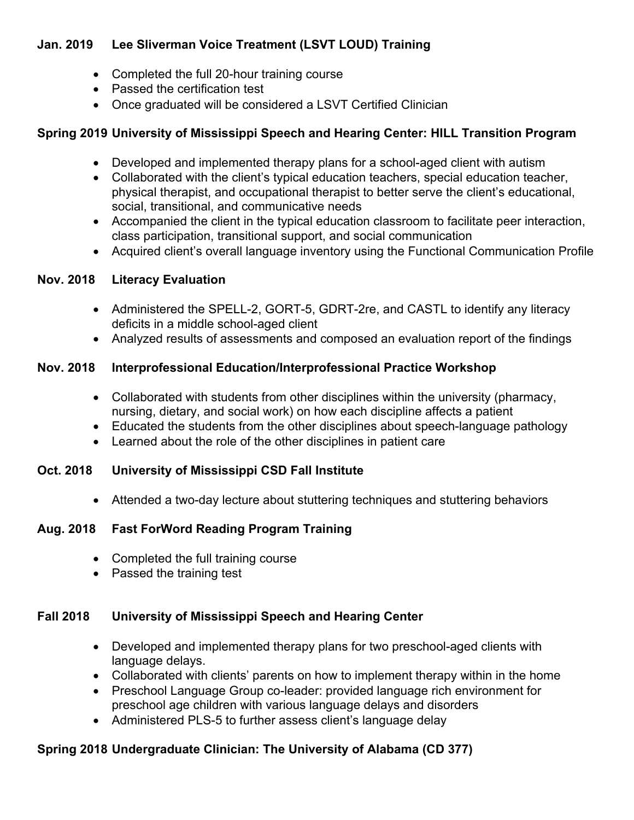# **Jan. 2019 Lee Sliverman Voice Treatment (LSVT LOUD) Training**

- Completed the full 20-hour training course
- Passed the certification test
- Once graduated will be considered a LSVT Certified Clinician

# **Spring 2019 University of Mississippi Speech and Hearing Center: HILL Transition Program**

- Developed and implemented therapy plans for a school-aged client with autism
- Collaborated with the client's typical education teachers, special education teacher, physical therapist, and occupational therapist to better serve the client's educational, social, transitional, and communicative needs
- Accompanied the client in the typical education classroom to facilitate peer interaction, class participation, transitional support, and social communication
- Acquired client's overall language inventory using the Functional Communication Profile

### **Nov. 2018 Literacy Evaluation**

- Administered the SPELL-2, GORT-5, GDRT-2re, and CASTL to identify any literacy deficits in a middle school-aged client
- Analyzed results of assessments and composed an evaluation report of the findings

### **Nov. 2018 Interprofessional Education/Interprofessional Practice Workshop**

- Collaborated with students from other disciplines within the university (pharmacy, nursing, dietary, and social work) on how each discipline affects a patient
- Educated the students from the other disciplines about speech-language pathology
- Learned about the role of the other disciplines in patient care

### **Oct. 2018 University of Mississippi CSD Fall Institute**

• Attended a two-day lecture about stuttering techniques and stuttering behaviors

### **Aug. 2018 Fast ForWord Reading Program Training**

- Completed the full training course
- Passed the training test

### **Fall 2018 University of Mississippi Speech and Hearing Center**

- Developed and implemented therapy plans for two preschool-aged clients with language delays.
- Collaborated with clients' parents on how to implement therapy within in the home
- Preschool Language Group co-leader: provided language rich environment for preschool age children with various language delays and disorders
- Administered PLS-5 to further assess client's language delay

# **Spring 2018 Undergraduate Clinician: The University of Alabama (CD 377)**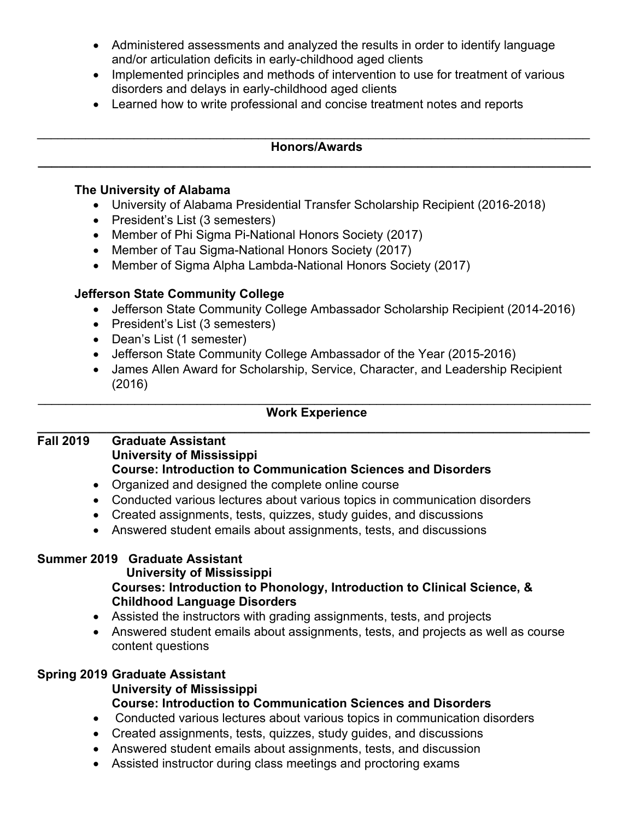- Administered assessments and analyzed the results in order to identify language and/or articulation deficits in early-childhood aged clients
- Implemented principles and methods of intervention to use for treatment of various disorders and delays in early-childhood aged clients
- Learned how to write professional and concise treatment notes and reports

#### $\mathcal{L}_\text{max} = \frac{1}{2} \sum_{i=1}^{n} \frac{1}{2} \sum_{i=1}^{n} \frac{1}{2} \sum_{i=1}^{n} \frac{1}{2} \sum_{i=1}^{n} \frac{1}{2} \sum_{i=1}^{n} \frac{1}{2} \sum_{i=1}^{n} \frac{1}{2} \sum_{i=1}^{n} \frac{1}{2} \sum_{i=1}^{n} \frac{1}{2} \sum_{i=1}^{n} \frac{1}{2} \sum_{i=1}^{n} \frac{1}{2} \sum_{i=1}^{n} \frac{1}{2} \sum_{i=1}^{n} \frac{1$ **Honors/Awards \_\_\_\_\_\_\_\_\_\_\_\_\_\_\_\_\_\_\_\_\_\_\_\_\_\_\_\_\_\_\_\_\_\_\_\_\_\_\_\_\_\_\_\_\_\_\_\_\_\_\_\_\_\_\_\_\_\_\_\_\_\_\_\_\_\_\_\_\_\_\_\_\_\_\_\_\_\_\_\_**

#### **The University of Alabama**

- University of Alabama Presidential Transfer Scholarship Recipient (2016-2018)
- President's List (3 semesters)
- Member of Phi Sigma Pi-National Honors Society (2017)
- Member of Tau Sigma-National Honors Society (2017)
- Member of Sigma Alpha Lambda-National Honors Society (2017)

# **Jefferson State Community College**

- Jefferson State Community College Ambassador Scholarship Recipient (2014-2016)
- President's List (3 semesters)
- Dean's List (1 semester)
- Jefferson State Community College Ambassador of the Year (2015-2016)
- James Allen Award for Scholarship, Service, Character, and Leadership Recipient (2016)

#### $\mathcal{L}_\text{max} = \frac{1}{2} \sum_{i=1}^{n} \frac{1}{2} \sum_{i=1}^{n} \frac{1}{2} \sum_{i=1}^{n} \frac{1}{2} \sum_{i=1}^{n} \frac{1}{2} \sum_{i=1}^{n} \frac{1}{2} \sum_{i=1}^{n} \frac{1}{2} \sum_{i=1}^{n} \frac{1}{2} \sum_{i=1}^{n} \frac{1}{2} \sum_{i=1}^{n} \frac{1}{2} \sum_{i=1}^{n} \frac{1}{2} \sum_{i=1}^{n} \frac{1}{2} \sum_{i=1}^{n} \frac{1$ **Work Experience \_\_\_\_\_\_\_\_\_\_\_\_\_\_\_\_\_\_\_\_\_\_\_\_\_\_\_\_\_\_\_\_\_\_\_\_\_\_\_\_\_\_\_\_\_\_\_\_\_\_\_\_\_\_\_\_\_\_\_\_\_\_\_\_\_\_\_\_\_\_\_\_\_\_\_\_\_\_\_\_**

#### **Fall 2019 Graduate Assistant University of Mississippi Course: Introduction to Communication Sciences and Disorders**

- Organized and designed the complete online course
- Conducted various lectures about various topics in communication disorders
- Created assignments, tests, quizzes, study guides, and discussions
- Answered student emails about assignments, tests, and discussions

### **Summer 2019 Graduate Assistant**

### **University of Mississippi**

### **Courses: Introduction to Phonology, Introduction to Clinical Science, & Childhood Language Disorders**

- Assisted the instructors with grading assignments, tests, and projects
- Answered student emails about assignments, tests, and projects as well as course content questions

# **Spring 2019 Graduate Assistant**

#### **University of Mississippi Course: Introduction to Communication Sciences and Disorders**

- Conducted various lectures about various topics in communication disorders
- Created assignments, tests, quizzes, study guides, and discussions
- Answered student emails about assignments, tests, and discussion
- Assisted instructor during class meetings and proctoring exams